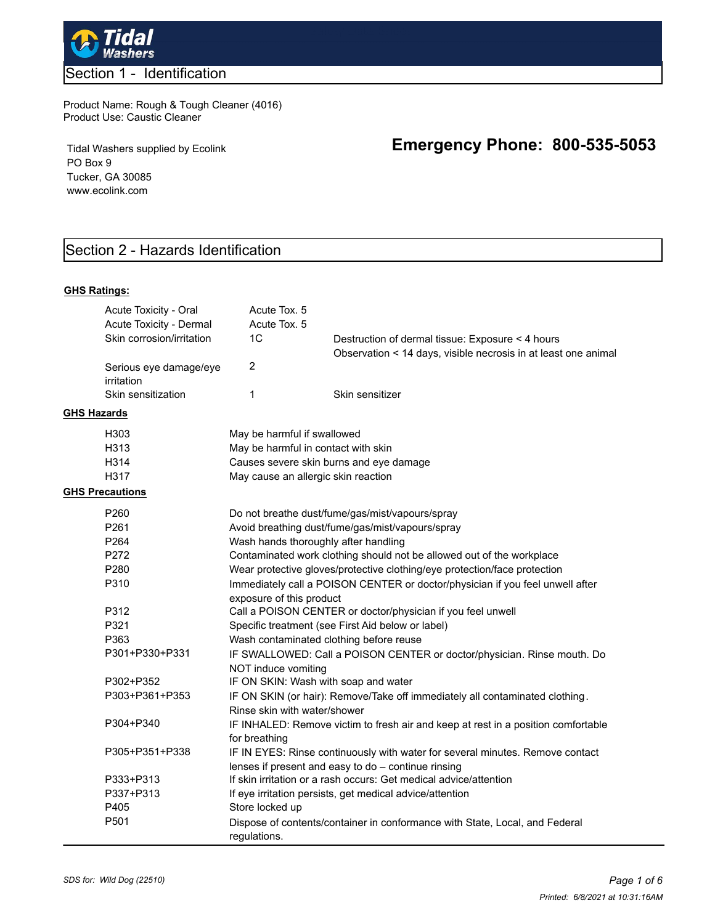

### Product Name: Rough & Tough Cleaner (4016) Product Use: Caustic Cleaner

Tidal Washers supplied by Ecolink PO Box 9 Tucker, GA 30085 www.ecolink.com

# **Emergency Phone: 800-535-5053**

# Section 2 - Hazards Identification

#### **GHS Ratings:**

|                                      | Acute Toxicity - Oral<br>Acute Toxicity - Dermal<br>Skin corrosion/irritation |                                                                                                              | Acute Tox. 5<br>Acute Tox. 5<br>1C                                                                                                                                                                                                                              | Destruction of dermal tissue: Exposure < 4 hours<br>Observation < 14 days, visible necrosis in at least one animal                   |  |  |
|--------------------------------------|-------------------------------------------------------------------------------|--------------------------------------------------------------------------------------------------------------|-----------------------------------------------------------------------------------------------------------------------------------------------------------------------------------------------------------------------------------------------------------------|--------------------------------------------------------------------------------------------------------------------------------------|--|--|
| Serious eye damage/eye<br>irritation |                                                                               |                                                                                                              | $\overline{c}$                                                                                                                                                                                                                                                  |                                                                                                                                      |  |  |
| <b>GHS Hazards</b>                   | Skin sensitization                                                            |                                                                                                              | $\mathbf{1}$                                                                                                                                                                                                                                                    | Skin sensitizer                                                                                                                      |  |  |
|                                      |                                                                               |                                                                                                              |                                                                                                                                                                                                                                                                 |                                                                                                                                      |  |  |
|                                      | H303                                                                          | May be harmful if swallowed                                                                                  |                                                                                                                                                                                                                                                                 |                                                                                                                                      |  |  |
|                                      | H313                                                                          | May be harmful in contact with skin                                                                          |                                                                                                                                                                                                                                                                 |                                                                                                                                      |  |  |
|                                      | H314                                                                          | Causes severe skin burns and eye damage                                                                      |                                                                                                                                                                                                                                                                 |                                                                                                                                      |  |  |
|                                      | H317                                                                          |                                                                                                              | May cause an allergic skin reaction                                                                                                                                                                                                                             |                                                                                                                                      |  |  |
|                                      | <b>GHS Precautions</b>                                                        |                                                                                                              |                                                                                                                                                                                                                                                                 |                                                                                                                                      |  |  |
|                                      | P260                                                                          |                                                                                                              |                                                                                                                                                                                                                                                                 | Do not breathe dust/fume/gas/mist/vapours/spray                                                                                      |  |  |
|                                      | P <sub>261</sub>                                                              | Avoid breathing dust/fume/gas/mist/vapours/spray                                                             |                                                                                                                                                                                                                                                                 |                                                                                                                                      |  |  |
|                                      | P264                                                                          | Wash hands thoroughly after handling                                                                         |                                                                                                                                                                                                                                                                 |                                                                                                                                      |  |  |
|                                      | P272                                                                          |                                                                                                              | Contaminated work clothing should not be allowed out of the workplace<br>Wear protective gloves/protective clothing/eye protection/face protection<br>Immediately call a POISON CENTER or doctor/physician if you feel unwell after<br>exposure of this product |                                                                                                                                      |  |  |
|                                      | P <sub>280</sub>                                                              |                                                                                                              |                                                                                                                                                                                                                                                                 |                                                                                                                                      |  |  |
|                                      | P310                                                                          |                                                                                                              |                                                                                                                                                                                                                                                                 |                                                                                                                                      |  |  |
|                                      |                                                                               |                                                                                                              |                                                                                                                                                                                                                                                                 |                                                                                                                                      |  |  |
|                                      | P312                                                                          | Call a POISON CENTER or doctor/physician if you feel unwell                                                  |                                                                                                                                                                                                                                                                 |                                                                                                                                      |  |  |
|                                      | P321                                                                          | Specific treatment (see First Aid below or label)<br>Wash contaminated clothing before reuse                 |                                                                                                                                                                                                                                                                 |                                                                                                                                      |  |  |
|                                      | P363                                                                          |                                                                                                              |                                                                                                                                                                                                                                                                 |                                                                                                                                      |  |  |
|                                      | P301+P330+P331                                                                | IF SWALLOWED: Call a POISON CENTER or doctor/physician. Rinse mouth. Do<br>NOT induce vomiting               |                                                                                                                                                                                                                                                                 |                                                                                                                                      |  |  |
|                                      | P302+P352                                                                     |                                                                                                              |                                                                                                                                                                                                                                                                 | IF ON SKIN: Wash with soap and water                                                                                                 |  |  |
|                                      | P303+P361+P353                                                                | IF ON SKIN (or hair): Remove/Take off immediately all contaminated clothing.<br>Rinse skin with water/shower |                                                                                                                                                                                                                                                                 |                                                                                                                                      |  |  |
|                                      | P304+P340                                                                     |                                                                                                              | for breathing                                                                                                                                                                                                                                                   | IF INHALED: Remove victim to fresh air and keep at rest in a position comfortable                                                    |  |  |
|                                      | P305+P351+P338                                                                |                                                                                                              |                                                                                                                                                                                                                                                                 | IF IN EYES: Rinse continuously with water for several minutes. Remove contact<br>lenses if present and easy to do - continue rinsing |  |  |
|                                      | P333+P313                                                                     |                                                                                                              |                                                                                                                                                                                                                                                                 | If skin irritation or a rash occurs: Get medical advice/attention                                                                    |  |  |
|                                      | P337+P313                                                                     |                                                                                                              |                                                                                                                                                                                                                                                                 | If eye irritation persists, get medical advice/attention                                                                             |  |  |
|                                      | P405                                                                          |                                                                                                              | Store locked up                                                                                                                                                                                                                                                 |                                                                                                                                      |  |  |
|                                      | P501                                                                          |                                                                                                              | regulations.                                                                                                                                                                                                                                                    | Dispose of contents/container in conformance with State, Local, and Federal                                                          |  |  |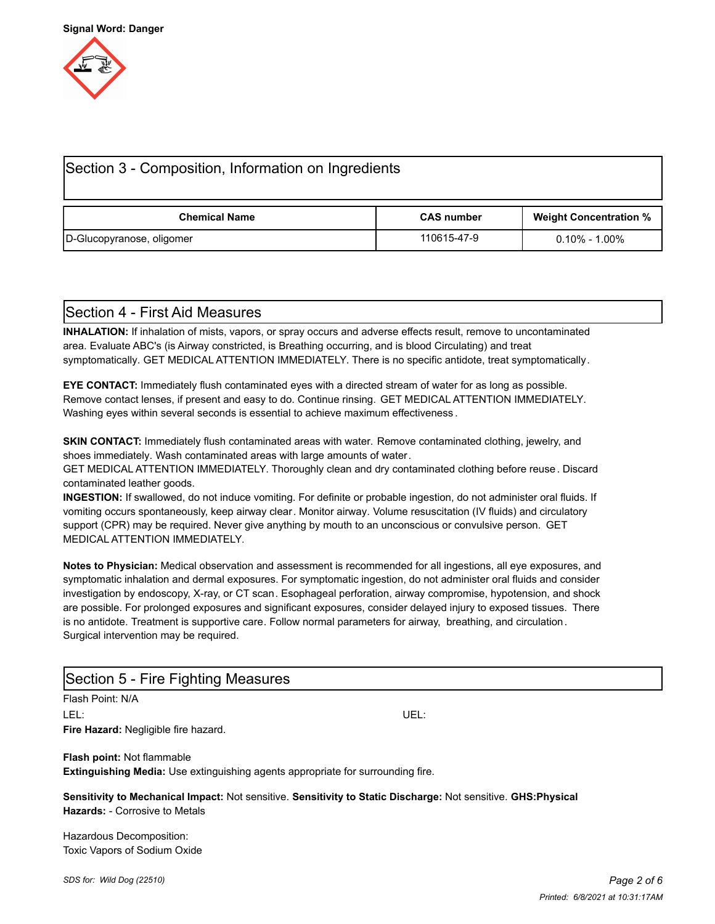

| Section 3 - Composition, Information on Ingredients |                   |                               |  |  |  |  |  |
|-----------------------------------------------------|-------------------|-------------------------------|--|--|--|--|--|
| <b>Chemical Name</b>                                | <b>CAS number</b> | <b>Weight Concentration %</b> |  |  |  |  |  |
| D-Glucopyranose, oligomer                           | 110615-47-9       | $0.10\%$ - 1.00 $\%$          |  |  |  |  |  |

### Section 4 - First Aid Measures

**INHALATION:** If inhalation of mists, vapors, or spray occurs and adverse effects result, remove to uncontaminated area. Evaluate ABC's (is Airway constricted, is Breathing occurring, and is blood Circulating) and treat symptomatically. GET MEDICAL ATTENTION IMMEDIATELY. There is no specific antidote, treat symptomatically.

**EYE CONTACT:** Immediately flush contaminated eyes with a directed stream of water for as long as possible. Remove contact lenses, if present and easy to do. Continue rinsing. GET MEDICAL ATTENTION IMMEDIATELY. Washing eyes within several seconds is essential to achieve maximum effectiveness .

**SKIN CONTACT:** Immediately flush contaminated areas with water. Remove contaminated clothing, jewelry, and shoes immediately. Wash contaminated areas with large amounts of water.

GET MEDICAL ATTENTION IMMEDIATELY. Thoroughly clean and dry contaminated clothing before reuse. Discard contaminated leather goods.

**INGESTION:** If swallowed, do not induce vomiting. For definite or probable ingestion, do not administer oral fluids. If vomiting occurs spontaneously, keep airway clear. Monitor airway. Volume resuscitation (IV fluids) and circulatory support (CPR) may be required. Never give anything by mouth to an unconscious or convulsive person. GET MEDICAL ATTENTION IMMEDIATELY.

**Notes to Physician:** Medical observation and assessment is recommended for all ingestions, all eye exposures, and symptomatic inhalation and dermal exposures. For symptomatic ingestion, do not administer oral fluids and consider investigation by endoscopy, X-ray, or CT scan. Esophageal perforation, airway compromise, hypotension, and shock are possible. For prolonged exposures and significant exposures, consider delayed injury to exposed tissues. There is no antidote. Treatment is supportive care. Follow normal parameters for airway, breathing, and circulation. Surgical intervention may be required.

| Section 5 - Fire Fighting Measures                                                     |                                                                                                                |  |  |  |
|----------------------------------------------------------------------------------------|----------------------------------------------------------------------------------------------------------------|--|--|--|
| Flash Point: N/A                                                                       |                                                                                                                |  |  |  |
| LEL: I                                                                                 | UEL:                                                                                                           |  |  |  |
| <b>Fire Hazard:</b> Negligible fire hazard.                                            |                                                                                                                |  |  |  |
| <b>Flash point: Not flammable</b>                                                      |                                                                                                                |  |  |  |
| <b>Extinguishing Media:</b> Use extinguishing agents appropriate for surrounding fire. |                                                                                                                |  |  |  |
|                                                                                        | Sensitivity to Mechanical Impact: Not sensitive. Sensitivity to Static Discharge: Not sensitive. GHS: Physical |  |  |  |

**Hazards:** - Corrosive to Metals

Hazardous Decomposition: Toxic Vapors of Sodium Oxide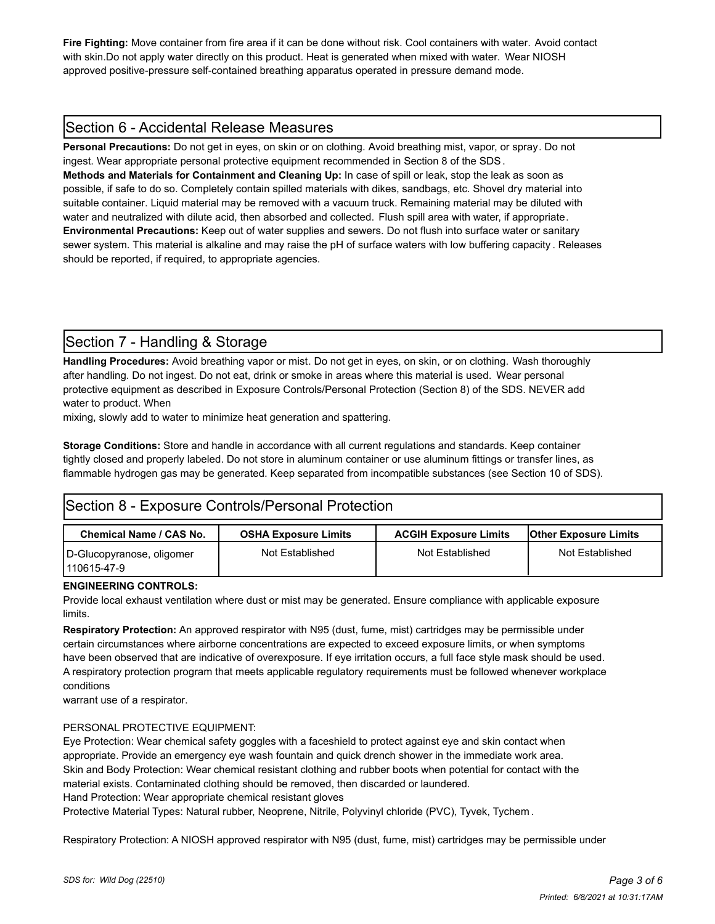**Fire Fighting:** Move container from fire area if it can be done without risk. Cool containers with water. Avoid contact with skin.Do not apply water directly on this product. Heat is generated when mixed with water. Wear NIOSH approved positive-pressure self-contained breathing apparatus operated in pressure demand mode.

# Section 6 - Accidental Release Measures

**Personal Precautions:** Do not get in eyes, on skin or on clothing. Avoid breathing mist, vapor, or spray. Do not ingest. Wear appropriate personal protective equipment recommended in Section 8 of the SDS.

**Methods and Materials for Containment and Cleaning Up:** In case of spill or leak, stop the leak as soon as possible, if safe to do so. Completely contain spilled materials with dikes, sandbags, etc. Shovel dry material into suitable container. Liquid material may be removed with a vacuum truck. Remaining material may be diluted with water and neutralized with dilute acid, then absorbed and collected. Flush spill area with water, if appropriate. **Environmental Precautions:** Keep out of water supplies and sewers. Do not flush into surface water or sanitary sewer system. This material is alkaline and may raise the pH of surface waters with low buffering capacity . Releases should be reported, if required, to appropriate agencies.

# Section 7 - Handling & Storage

**Handling Procedures:** Avoid breathing vapor or mist. Do not get in eyes, on skin, or on clothing. Wash thoroughly after handling. Do not ingest. Do not eat, drink or smoke in areas where this material is used. Wear personal protective equipment as described in Exposure Controls/Personal Protection (Section 8) of the SDS. NEVER add water to product. When

mixing, slowly add to water to minimize heat generation and spattering.

**Storage Conditions:** Store and handle in accordance with all current regulations and standards. Keep container tightly closed and properly labeled. Do not store in aluminum container or use aluminum fittings or transfer lines, as flammable hydrogen gas may be generated. Keep separated from incompatible substances (see Section 10 of SDS).

# Section 8 - Exposure Controls/Personal Protection

| Chemical Name / CAS No.                    | <b>OSHA Exposure Limits</b> | <b>ACGIH Exposure Limits</b> | <b>Other Exposure Limits</b> |  |
|--------------------------------------------|-----------------------------|------------------------------|------------------------------|--|
| D-Glucopyranose, oligomer<br>l 110615-47-9 | Not Established             | Not Established              | Not Established              |  |

#### **ENGINEERING CONTROLS:**

Provide local exhaust ventilation where dust or mist may be generated. Ensure compliance with applicable exposure limits.

**Respiratory Protection:** An approved respirator with N95 (dust, fume, mist) cartridges may be permissible under certain circumstances where airborne concentrations are expected to exceed exposure limits, or when symptoms have been observed that are indicative of overexposure. If eye irritation occurs, a full face style mask should be used. A respiratory protection program that meets applicable regulatory requirements must be followed whenever workplace conditions

warrant use of a respirator.

#### PERSONAL PROTECTIVE EQUIPMENT:

Eye Protection: Wear chemical safety goggles with a faceshield to protect against eye and skin contact when appropriate. Provide an emergency eye wash fountain and quick drench shower in the immediate work area. Skin and Body Protection: Wear chemical resistant clothing and rubber boots when potential for contact with the material exists. Contaminated clothing should be removed, then discarded or laundered. Hand Protection: Wear appropriate chemical resistant gloves

Protective Material Types: Natural rubber, Neoprene, Nitrile, Polyvinyl chloride (PVC), Tyvek, Tychem .

Respiratory Protection: A NIOSH approved respirator with N95 (dust, fume, mist) cartridges may be permissible under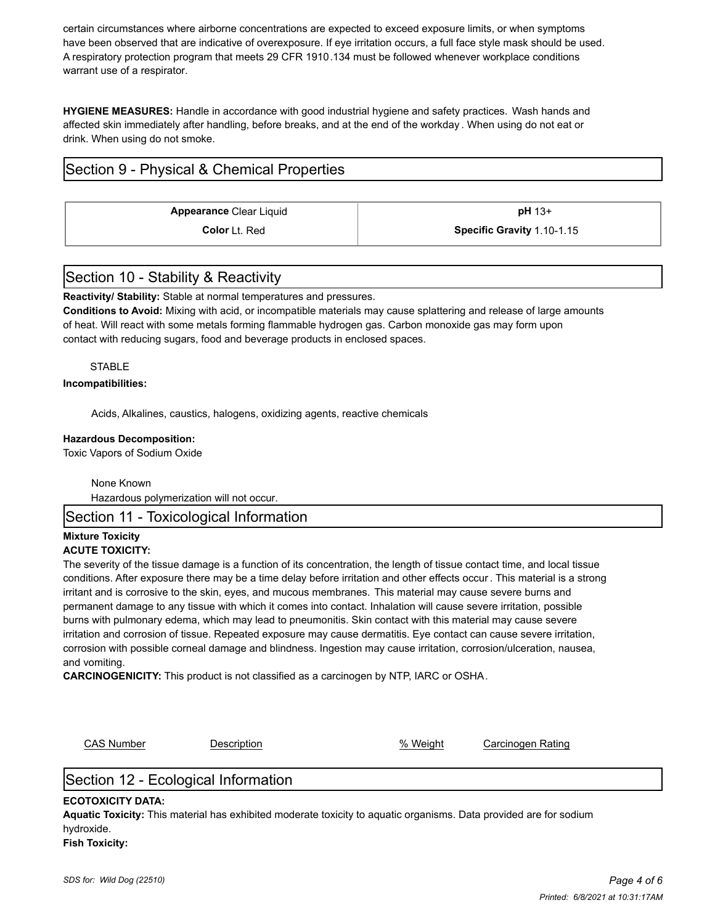certain circumstances where airborne concentrations are expected to exceed exposure limits, or when symptoms have been observed that are indicative of overexposure. If eye irritation occurs, a full face style mask should be used. A respiratory protection program that meets 29 CFR 1910.134 must be followed whenever workplace conditions warrant use of a respirator.

**HYGIENE MEASURES:** Handle in accordance with good industrial hygiene and safety practices. Wash hands and affected skin immediately after handling, before breaks, and at the end of the workday . When using do not eat or drink. When using do not smoke.

# Section 9 - Physical & Chemical Properties

**Appearance** Clear Liquid **and Clear is a pH** 13+

**Color** Lt. Red **Specific Gravity** 1.10-1.15

# Section 10 - Stability & Reactivity

**Reactivity/ Stability:** Stable at normal temperatures and pressures.

**Conditions to Avoid:** Mixing with acid, or incompatible materials may cause splattering and release of large amounts of heat. Will react with some metals forming flammable hydrogen gas. Carbon monoxide gas may form upon contact with reducing sugars, food and beverage products in enclosed spaces.

#### STABLE

#### **Incompatibilities:**

Acids, Alkalines, caustics, halogens, oxidizing agents, reactive chemicals

#### **Hazardous Decomposition:**

Toxic Vapors of Sodium Oxide

None Known

Hazardous polymerization will not occur.

Section 11 - Toxicological Information

#### **Mixture Toxicity ACUTE TOXICITY:**

The severity of the tissue damage is a function of its concentration, the length of tissue contact time, and local tissue conditions. After exposure there may be a time delay before irritation and other effects occur . This material is a strong irritant and is corrosive to the skin, eyes, and mucous membranes. This material may cause severe burns and permanent damage to any tissue with which it comes into contact. Inhalation will cause severe irritation, possible burns with pulmonary edema, which may lead to pneumonitis. Skin contact with this material may cause severe irritation and corrosion of tissue. Repeated exposure may cause dermatitis. Eye contact can cause severe irritation, corrosion with possible corneal damage and blindness. Ingestion may cause irritation, corrosion/ulceration, nausea, and vomiting.

**CARCINOGENICITY:** This product is not classified as a carcinogen by NTP, IARC or OSHA.

CAS Number **Description CAS Number** Carcinogen Rating

# Section 12 - Ecological Information

#### **ECOTOXICITY DATA:**

**Aquatic Toxicity:** This material has exhibited moderate toxicity to aquatic organisms. Data provided are for sodium hydroxide. **Fish Toxicity:**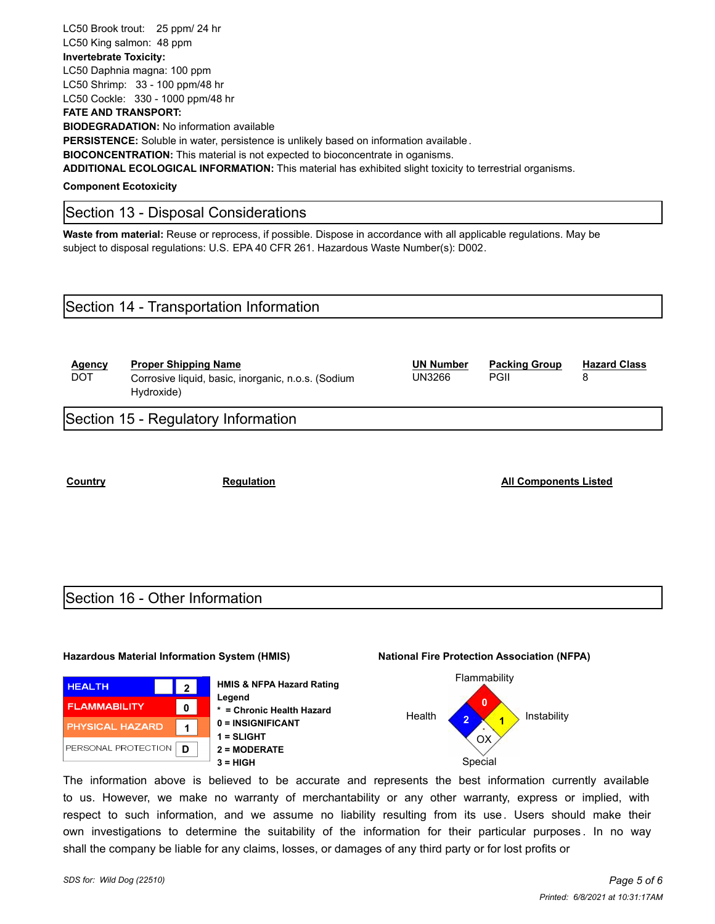LC50 Brook trout: 25 ppm/ 24 hr

LC50 King salmon: 48 ppm

### **Invertebrate Toxicity:**

LC50 Daphnia magna: 100 ppm LC50 Shrimp: 33 - 100 ppm/48 hr

LC50 Cockle: 330 - 1000 ppm/48 hr

#### **FATE AND TRANSPORT:**

**BIODEGRADATION:** No information available

**PERSISTENCE:** Soluble in water, persistence is unlikely based on information available .

**BIOCONCENTRATION:** This material is not expected to bioconcentrate in oganisms.

**ADDITIONAL ECOLOGICAL INFORMATION:** This material has exhibited slight toxicity to terrestrial organisms.

**Component Ecotoxicity**

# Section 13 - Disposal Considerations

**Waste from material:** Reuse or reprocess, if possible. Dispose in accordance with all applicable regulations. May be subject to disposal regulations: U.S. EPA 40 CFR 261. Hazardous Waste Number(s): D002.

# Section 14 - Transportation Information

| Agency<br><b>DOT</b> | <b>Proper Shipping Name</b><br>Corrosive liquid, basic, inorganic, n.o.s. (Sodium<br>Hydroxide) | <b>UN Number</b><br>UN3266 | <b>Packing Group</b><br>PGII | <b>Hazard Class</b> |
|----------------------|-------------------------------------------------------------------------------------------------|----------------------------|------------------------------|---------------------|
|                      | Section 15 - Regulatory Information                                                             |                            |                              |                     |

**Country Regulation Regulation Regulation All Components Listed** 

# Section 16 - Other Information

#### **Hazardous Material Information System (HMIS) National Fire Protection Association (NFPA)**



**HMIS & NFPA Hazard Rating Legend \* = Chronic Health Hazard 0 = INSIGNIFICANT 1 = SLIGHT 2 = MODERATE 3 = HIGH** Special



The information above is believed to be accurate and represents the best information currently available to us. However, we make no warranty of merchantability or any other warranty, express or implied, with respect to such information, and we assume no liability resulting from its use. Users should make their own investigations to determine the suitability of the information for their particular purposes . In no way shall the company be liable for any claims, losses, or damages of any third party or for lost profits or